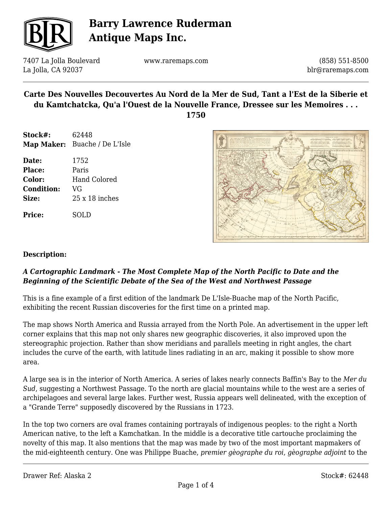

7407 La Jolla Boulevard La Jolla, CA 92037

www.raremaps.com

(858) 551-8500 blr@raremaps.com

## **Carte Des Nouvelles Decouvertes Au Nord de la Mer de Sud, Tant a l'Est de la Siberie et du Kamtchatcka, Qu'a l'Ouest de la Nouvelle France, Dressee sur les Memoires . . .**

**1750**

- **Stock#:** 62448 **Map Maker:** Buache / De L'Isle
- **Date:** 1752 **Place:** Paris **Color:** Hand Colored **Condition:** VG **Size:** 25 x 18 inches

**Price:** SOLD



### **Description:**

## *A Cartographic Landmark - The Most Complete Map of the North Pacific to Date and the Beginning of the Scientific Debate of the Sea of the West and Northwest Passage*

This is a fine example of a first edition of the landmark De L'Isle-Buache map of the North Pacific, exhibiting the recent Russian discoveries for the first time on a printed map.

The map shows North America and Russia arrayed from the North Pole. An advertisement in the upper left corner explains that this map not only shares new geographic discoveries, it also improved upon the stereographic projection. Rather than show meridians and parallels meeting in right angles, the chart includes the curve of the earth, with latitude lines radiating in an arc, making it possible to show more area.

A large sea is in the interior of North America. A series of lakes nearly connects Baffin's Bay to the *Mer du Sud*, suggesting a Northwest Passage. To the north are glacial mountains while to the west are a series of archipelagoes and several large lakes. Further west, Russia appears well delineated, with the exception of a "Grande Terre" supposedly discovered by the Russians in 1723.

In the top two corners are oval frames containing portrayals of indigenous peoples: to the right a North American native, to the left a Kamchatkan. In the middle is a decorative title cartouche proclaiming the novelty of this map. It also mentions that the map was made by two of the most important mapmakers of the mid-eighteenth century. One was Philippe Buache, *premier gèographe du roi*, *gèographe adjoint* to the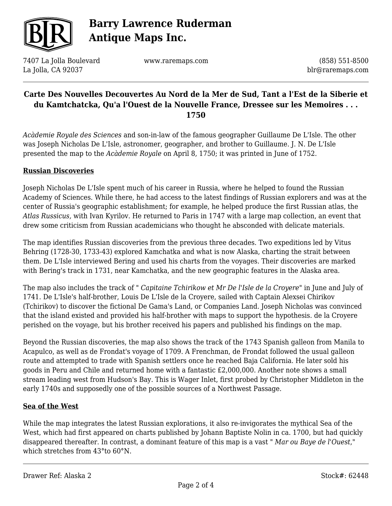

7407 La Jolla Boulevard La Jolla, CA 92037

www.raremaps.com

(858) 551-8500 blr@raremaps.com

## **Carte Des Nouvelles Decouvertes Au Nord de la Mer de Sud, Tant a l'Est de la Siberie et du Kamtchatcka, Qu'a l'Ouest de la Nouvelle France, Dressee sur les Memoires . . . 1750**

*Acàdemie Royale des Sciences* and son-in-law of the famous geographer Guillaume De L'Isle. The other was Joseph Nicholas De L'Isle, astronomer, geographer, and brother to Guillaume. J. N. De L'Isle presented the map to the *Acàdemie Royale* on April 8, 1750; it was printed in June of 1752.

### **Russian Discoveries**

Joseph Nicholas De L'Isle spent much of his career in Russia, where he helped to found the Russian Academy of Sciences. While there, he had access to the latest findings of Russian explorers and was at the center of Russia's geographic establishment; for example, he helped produce the first Russian atlas, the *Atlas Russicus,* with Ivan Kyrilov. He returned to Paris in 1747 with a large map collection, an event that drew some criticism from Russian academicians who thought he absconded with delicate materials.

The map identifies Russian discoveries from the previous three decades. Two expeditions led by Vitus Behring (1728-30, 1733-43) explored Kamchatka and what is now Alaska, charting the strait between them. De L'Isle interviewed Bering and used his charts from the voyages. Their discoveries are marked with Bering's track in 1731, near Kamchatka, and the new geographic features in the Alaska area.

The map also includes the track of " *Capitaine Tchirikow et Mr De l'Isle de la Croyere*" in June and July of 1741. De L'Isle's half-brother, Louis De L'Isle de la Croyere, sailed with Captain Alexsei Chirikov (Tchirikov) to discover the fictional De Gama's Land, or Companies Land. Joseph Nicholas was convinced that the island existed and provided his half-brother with maps to support the hypothesis. de la Croyere perished on the voyage, but his brother received his papers and published his findings on the map.

Beyond the Russian discoveries, the map also shows the track of the 1743 Spanish galleon from Manila to Acapulco, as well as de Frondat's voyage of 1709. A Frenchman, de Frondat followed the usual galleon route and attempted to trade with Spanish settlers once he reached Baja California. He later sold his goods in Peru and Chile and returned home with a fantastic £2,000,000. Another note shows a small stream leading west from Hudson's Bay. This is Wager Inlet, first probed by Christopher Middleton in the early 1740s and supposedly one of the possible sources of a Northwest Passage.

#### **Sea of the West**

While the map integrates the latest Russian explorations, it also re-invigorates the mythical Sea of the West, which had first appeared on charts published by Johann Baptiste Nolin in ca. 1700, but had quickly disappeared thereafter. In contrast, a dominant feature of this map is a vast " *Mar ou Baye de l'Ouest*," which stretches from 43°to 60°N.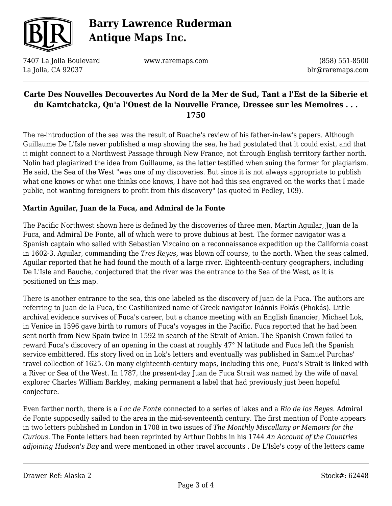

7407 La Jolla Boulevard La Jolla, CA 92037

www.raremaps.com

(858) 551-8500 blr@raremaps.com

## **Carte Des Nouvelles Decouvertes Au Nord de la Mer de Sud, Tant a l'Est de la Siberie et du Kamtchatcka, Qu'a l'Ouest de la Nouvelle France, Dressee sur les Memoires . . . 1750**

The re-introduction of the sea was the result of Buache's review of his father-in-law's papers. Although Guillaume De L'Isle never published a map showing the sea, he had postulated that it could exist, and that it might connect to a Northwest Passage through New France, not through English territory farther north. Nolin had plagiarized the idea from Guillaume, as the latter testified when suing the former for plagiarism. He said, the Sea of the West "was one of my discoveries. But since it is not always appropriate to publish what one knows or what one thinks one knows, I have not had this sea engraved on the works that I made public, not wanting foreigners to profit from this discovery" (as quoted in Pedley, 109).

### **Martin Aguilar, Juan de la Fuca, and Admiral de la Fonte**

The Pacific Northwest shown here is defined by the discoveries of three men, Martin Aguilar, Juan de la Fuca, and Admiral De Fonte, all of which were to prove dubious at best. The former navigator was a Spanish captain who sailed with Sebastian Vizcaino on a reconnaissance expedition up the California coast in 1602-3. Aguilar, commanding the *Tres Reyes,* was blown off course, to the north. When the seas calmed, Aguilar reported that he had found the mouth of a large river. Eighteenth-century geographers, including De L'Isle and Bauche, conjectured that the river was the entrance to the Sea of the West, as it is positioned on this map.

There is another entrance to the sea, this one labeled as the discovery of Juan de la Fuca. The authors are referring to Juan de la Fuca, the Castilianized name of Greek navigator Ioánnis Fokás (Phokás). Little archival evidence survives of Fuca's career, but a chance meeting with an English financier, Michael Lok, in Venice in 1596 gave birth to rumors of Fuca's voyages in the Pacific. Fuca reported that he had been sent north from New Spain twice in 1592 in search of the Strait of Anian. The Spanish Crown failed to reward Fuca's discovery of an opening in the coast at roughly 47° N latitude and Fuca left the Spanish service embittered. His story lived on in Lok's letters and eventually was published in Samuel Purchas' travel collection of 1625. On many eighteenth-century maps, including this one, Fuca's Strait is linked with a River or Sea of the West. In 1787, the present-day Juan de Fuca Strait was named by the wife of naval explorer Charles William Barkley, making permanent a label that had previously just been hopeful conjecture.

Even farther north, there is a *Lac de Fonte* connected to a series of lakes and a *Rio de los Reyes*. Admiral de Fonte supposedly sailed to the area in the mid-seventeenth century. The first mention of Fonte appears in two letters published in London in 1708 in two issues of *The Monthly Miscellany or Memoirs for the Curious.* The Fonte letters had been reprinted by Arthur Dobbs in his 1744 *An Account of the Countries adjoining Hudson's Bay* and were mentioned in other travel accounts *.* De L'Isle's copy of the letters came